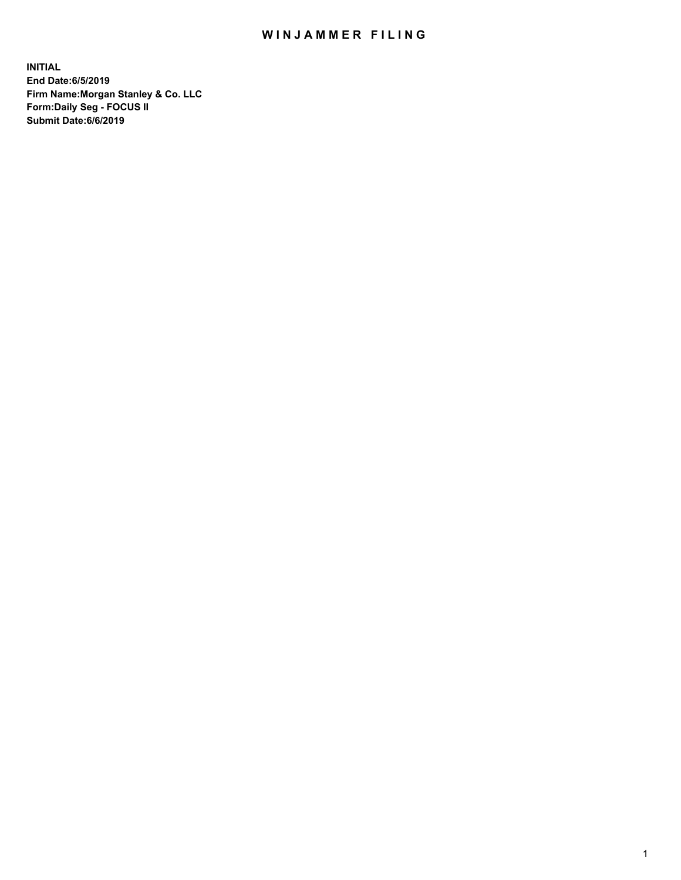## WIN JAMMER FILING

**INITIAL End Date:6/5/2019 Firm Name:Morgan Stanley & Co. LLC Form:Daily Seg - FOCUS II Submit Date:6/6/2019**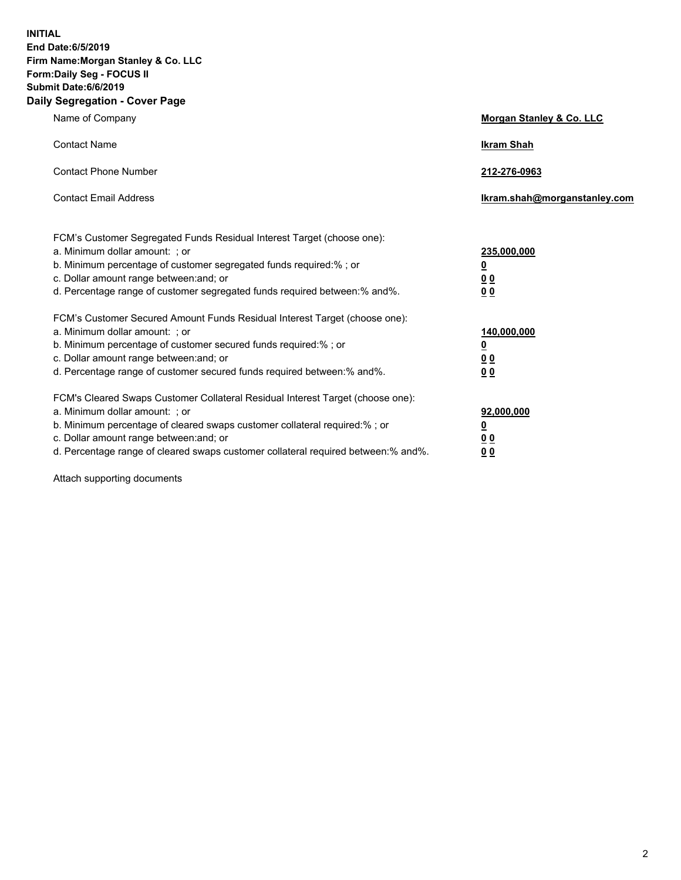**INITIAL End Date:6/5/2019 Firm Name:Morgan Stanley & Co. LLC Form:Daily Seg - FOCUS II Submit Date:6/6/2019 Daily Segregation - Cover Page**

| Name of Company                                                                                                                                                                                                                                                                                                                | Morgan Stanley & Co. LLC                                    |
|--------------------------------------------------------------------------------------------------------------------------------------------------------------------------------------------------------------------------------------------------------------------------------------------------------------------------------|-------------------------------------------------------------|
| <b>Contact Name</b>                                                                                                                                                                                                                                                                                                            | <b>Ikram Shah</b>                                           |
| <b>Contact Phone Number</b>                                                                                                                                                                                                                                                                                                    | 212-276-0963                                                |
| <b>Contact Email Address</b>                                                                                                                                                                                                                                                                                                   | Ikram.shah@morganstanley.com                                |
| FCM's Customer Segregated Funds Residual Interest Target (choose one):<br>a. Minimum dollar amount: ; or<br>b. Minimum percentage of customer segregated funds required:% ; or<br>c. Dollar amount range between: and; or<br>d. Percentage range of customer segregated funds required between:% and%.                         | 235,000,000<br><u>0</u><br>0 <sub>0</sub><br>00             |
| FCM's Customer Secured Amount Funds Residual Interest Target (choose one):<br>a. Minimum dollar amount: ; or<br>b. Minimum percentage of customer secured funds required:% ; or<br>c. Dollar amount range between: and; or<br>d. Percentage range of customer secured funds required between:% and%.                           | 140,000,000<br><u>0</u><br>0 <sub>0</sub><br>0 <sub>0</sub> |
| FCM's Cleared Swaps Customer Collateral Residual Interest Target (choose one):<br>a. Minimum dollar amount: ; or<br>b. Minimum percentage of cleared swaps customer collateral required:% ; or<br>c. Dollar amount range between: and; or<br>d. Percentage range of cleared swaps customer collateral required between:% and%. | 92,000,000<br><u>0</u><br>0 Q<br>0 <sub>0</sub>             |

Attach supporting documents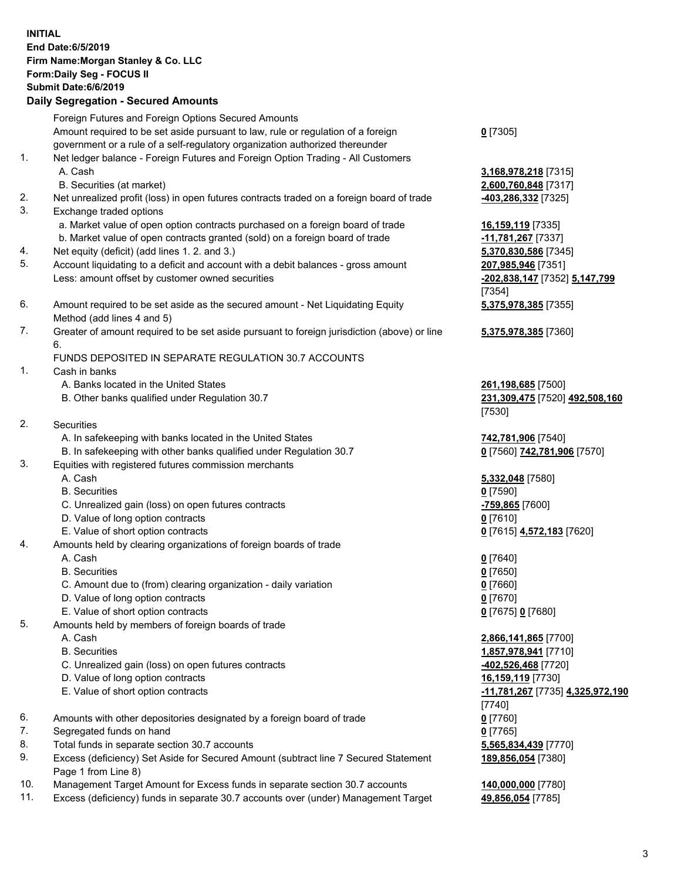|     | <b>INITIAL</b><br>End Date: 6/5/2019<br>Firm Name: Morgan Stanley & Co. LLC<br>Form: Daily Seg - FOCUS II<br><b>Submit Date: 6/6/2019</b><br><b>Daily Segregation - Secured Amounts</b> |                                                              |
|-----|-----------------------------------------------------------------------------------------------------------------------------------------------------------------------------------------|--------------------------------------------------------------|
|     | Foreign Futures and Foreign Options Secured Amounts                                                                                                                                     |                                                              |
|     | Amount required to be set aside pursuant to law, rule or regulation of a foreign                                                                                                        | $0$ [7305]                                                   |
| 1.  | government or a rule of a self-regulatory organization authorized thereunder<br>Net ledger balance - Foreign Futures and Foreign Option Trading - All Customers                         |                                                              |
|     | A. Cash                                                                                                                                                                                 | 3,168,978,218 [7315]                                         |
|     | B. Securities (at market)                                                                                                                                                               | 2,600,760,848 [7317]                                         |
| 2.  | Net unrealized profit (loss) in open futures contracts traded on a foreign board of trade                                                                                               | 403,286,332 [7325]                                           |
| 3.  | Exchange traded options                                                                                                                                                                 |                                                              |
|     | a. Market value of open option contracts purchased on a foreign board of trade                                                                                                          | 16,159,119 [7335]                                            |
| 4.  | b. Market value of open contracts granted (sold) on a foreign board of trade<br>Net equity (deficit) (add lines 1.2. and 3.)                                                            | -11,781,267 [7337]<br>5,370,830,586 [7345]                   |
| 5.  | Account liquidating to a deficit and account with a debit balances - gross amount                                                                                                       | 207,985,946 [7351]                                           |
|     | Less: amount offset by customer owned securities                                                                                                                                        | -202,838,147 [7352] 5,147,799                                |
|     |                                                                                                                                                                                         | [7354]                                                       |
| 6.  | Amount required to be set aside as the secured amount - Net Liquidating Equity<br>Method (add lines 4 and 5)                                                                            | 5,375,978,385 [7355]                                         |
| 7.  | Greater of amount required to be set aside pursuant to foreign jurisdiction (above) or line                                                                                             | 5,375,978,385 [7360]                                         |
|     | 6.                                                                                                                                                                                      |                                                              |
|     | FUNDS DEPOSITED IN SEPARATE REGULATION 30.7 ACCOUNTS                                                                                                                                    |                                                              |
| 1.  | Cash in banks<br>A. Banks located in the United States                                                                                                                                  | 261,198,685 [7500]                                           |
|     | B. Other banks qualified under Regulation 30.7                                                                                                                                          | 231,309,475 [7520] 492,508,160<br>[7530]                     |
| 2.  | Securities                                                                                                                                                                              |                                                              |
|     | A. In safekeeping with banks located in the United States                                                                                                                               | 742,781,906 [7540]                                           |
|     | B. In safekeeping with other banks qualified under Regulation 30.7                                                                                                                      | 0 [7560] 742,781,906 [7570]                                  |
| 3.  | Equities with registered futures commission merchants<br>A. Cash                                                                                                                        |                                                              |
|     | <b>B.</b> Securities                                                                                                                                                                    | 5,332,048 [7580]<br>$0$ [7590]                               |
|     | C. Unrealized gain (loss) on open futures contracts                                                                                                                                     | -759,865 [7600]                                              |
|     | D. Value of long option contracts                                                                                                                                                       | $0$ [7610]                                                   |
|     | E. Value of short option contracts                                                                                                                                                      | <u>0</u> [7615] 4,572,183 [7620]                             |
| 4.  | Amounts held by clearing organizations of foreign boards of trade                                                                                                                       |                                                              |
|     | A. Cash                                                                                                                                                                                 | $0$ [7640]                                                   |
|     | <b>B.</b> Securities<br>C. Amount due to (from) clearing organization - daily variation                                                                                                 | $0$ [7650]<br>$0$ [7660]                                     |
|     | D. Value of long option contracts                                                                                                                                                       | $0$ [7670]                                                   |
|     | E. Value of short option contracts                                                                                                                                                      | 0 [7675] 0 [7680]                                            |
| 5.  | Amounts held by members of foreign boards of trade                                                                                                                                      |                                                              |
|     | A. Cash                                                                                                                                                                                 | 2,866,141,865 [7700]                                         |
|     | <b>B.</b> Securities                                                                                                                                                                    | 1,857,978,941 [7710]                                         |
|     | C. Unrealized gain (loss) on open futures contracts<br>D. Value of long option contracts                                                                                                | -402,526,468 [7720]                                          |
|     | E. Value of short option contracts                                                                                                                                                      | 16,159,119 [7730]<br><u>-11,781,267</u> [7735] 4,325,972,190 |
|     |                                                                                                                                                                                         | $[7740]$                                                     |
| 6.  | Amounts with other depositories designated by a foreign board of trade                                                                                                                  | $0$ [7760]                                                   |
| 7.  | Segregated funds on hand                                                                                                                                                                | $0$ [7765]                                                   |
| 8.  | Total funds in separate section 30.7 accounts                                                                                                                                           | 5,565,834,439 [7770]                                         |
| 9.  | Excess (deficiency) Set Aside for Secured Amount (subtract line 7 Secured Statement<br>Page 1 from Line 8)                                                                              | 189,856,054 [7380]                                           |
| 10. | Management Target Amount for Excess funds in separate section 30.7 accounts                                                                                                             | 140,000,000 [7780]                                           |

11. Excess (deficiency) funds in separate 30.7 accounts over (under) Management Target **49,856,054** [7785]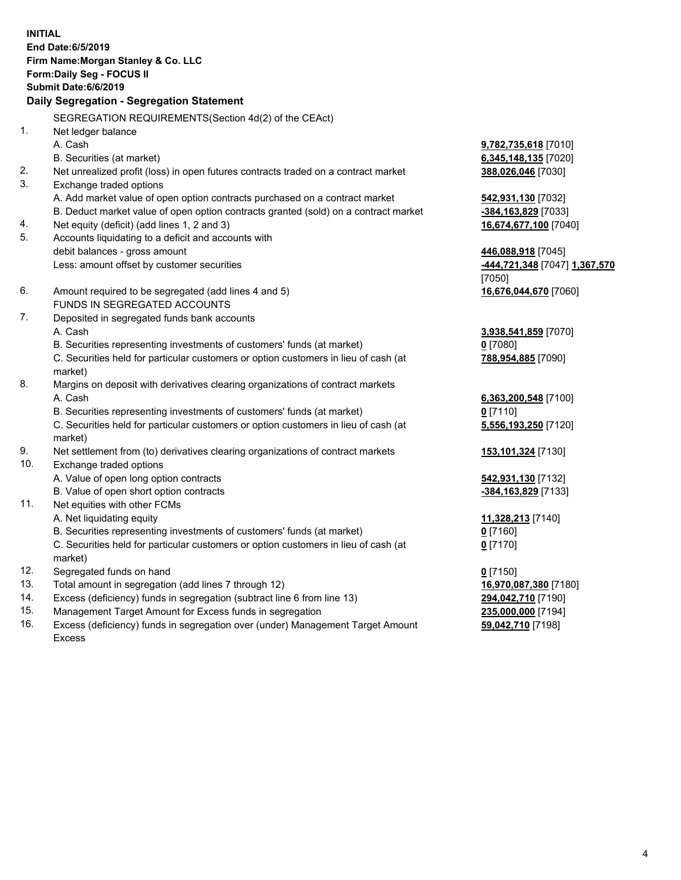| <b>INITIAL</b> | End Date: 6/5/2019<br>Firm Name: Morgan Stanley & Co. LLC<br>Form: Daily Seg - FOCUS II<br>Submit Date: 6/6/2019<br>Daily Segregation - Segregation Statement |                                             |
|----------------|---------------------------------------------------------------------------------------------------------------------------------------------------------------|---------------------------------------------|
|                |                                                                                                                                                               |                                             |
|                | SEGREGATION REQUIREMENTS(Section 4d(2) of the CEAct)                                                                                                          |                                             |
| 1.             | Net ledger balance                                                                                                                                            |                                             |
|                | A. Cash                                                                                                                                                       | <b>9,782,735,618</b> [7010]                 |
| 2.             | B. Securities (at market)                                                                                                                                     | 6,345,148,135 [7020]                        |
| 3.             | Net unrealized profit (loss) in open futures contracts traded on a contract market<br>Exchange traded options                                                 | 388,026,046 [7030]                          |
|                | A. Add market value of open option contracts purchased on a contract market                                                                                   |                                             |
|                | B. Deduct market value of open option contracts granted (sold) on a contract market                                                                           | 542,931,130 [7032]<br>-384, 163, 829 [7033] |
| 4.             | Net equity (deficit) (add lines 1, 2 and 3)                                                                                                                   | 16,674,677,100 [7040]                       |
| 5.             | Accounts liquidating to a deficit and accounts with                                                                                                           |                                             |
|                | debit balances - gross amount                                                                                                                                 | 446,088,918 [7045]                          |
|                | Less: amount offset by customer securities                                                                                                                    | -444,721,348 [7047] 1,367,570               |
|                |                                                                                                                                                               | [7050]                                      |
| 6.             | Amount required to be segregated (add lines 4 and 5)                                                                                                          | 16,676,044,670 [7060]                       |
|                | FUNDS IN SEGREGATED ACCOUNTS                                                                                                                                  |                                             |
| 7.             | Deposited in segregated funds bank accounts                                                                                                                   |                                             |
|                | A. Cash                                                                                                                                                       | 3,938,541,859 [7070]                        |
|                | B. Securities representing investments of customers' funds (at market)                                                                                        | $0$ [7080]                                  |
|                | C. Securities held for particular customers or option customers in lieu of cash (at                                                                           | 788,954,885 [7090]                          |
|                | market)                                                                                                                                                       |                                             |
| 8.             | Margins on deposit with derivatives clearing organizations of contract markets                                                                                |                                             |
|                | A. Cash                                                                                                                                                       | 6,363,200,548 [7100]                        |
|                | B. Securities representing investments of customers' funds (at market)                                                                                        | $0$ [7110]                                  |
|                | C. Securities held for particular customers or option customers in lieu of cash (at                                                                           | 5,556,193,250 [7120]                        |
|                | market)                                                                                                                                                       |                                             |
| 9.             | Net settlement from (to) derivatives clearing organizations of contract markets                                                                               | 153,101,324 [7130]                          |
| 10.            | Exchange traded options                                                                                                                                       |                                             |
|                | A. Value of open long option contracts                                                                                                                        | 542,931,130 [7132]                          |
|                | B. Value of open short option contracts                                                                                                                       | -384,163,829 [7133]                         |
| 11.            | Net equities with other FCMs                                                                                                                                  |                                             |
|                | A. Net liquidating equity                                                                                                                                     | 11,328,213 [7140]                           |
|                | B. Securities representing investments of customers' funds (at market)                                                                                        | $0$ [7160]                                  |
|                | C. Securities held for particular customers or option customers in lieu of cash (at<br>market)                                                                | $0$ [7170]                                  |
| 12.            | Segregated funds on hand                                                                                                                                      | $0$ [7150]                                  |
| 13.            | Total amount in segregation (add lines 7 through 12)                                                                                                          | 16,970,087,380 [7180]                       |
| 14.            | Excess (deficiency) funds in segregation (subtract line 6 from line 13)                                                                                       | 294,042,710 [7190]                          |
|                |                                                                                                                                                               | 0.50000000000                               |

15. Management Target Amount for Excess funds in segregation<br>16. Excess (deficiency) funds in segregation over (under) Manage Excess (deficiency) funds in segregation over (under) Management Target Amount Excess

**235,000,000** [7194]<br>**59,042,710** [7198]